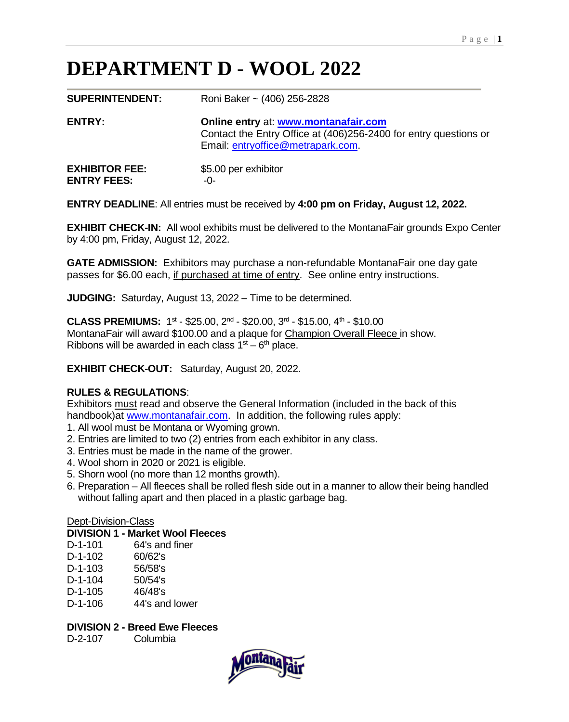# **DEPARTMENT D - WOOL 2022**

| <b>SUPERINTENDENT:</b>                      | Roni Baker ~ (406) 256-2828                                                                                                                   |
|---------------------------------------------|-----------------------------------------------------------------------------------------------------------------------------------------------|
| <b>ENTRY:</b>                               | Online entry at: www.montanafair.com<br>Contact the Entry Office at (406)256-2400 for entry questions or<br>Email: entryoffice@metrapark.com. |
| <b>EXHIBITOR FEE:</b><br><b>ENTRY FEES:</b> | \$5.00 per exhibitor<br>-0-                                                                                                                   |

**ENTRY DEADLINE**: All entries must be received by **4:00 pm on Friday, August 12, 2022.**

**EXHIBIT CHECK-IN:** All wool exhibits must be delivered to the MontanaFair grounds Expo Center by 4:00 pm, Friday, August 12, 2022.

**GATE ADMISSION:** Exhibitors may purchase a non-refundable MontanaFair one day gate passes for \$6.00 each, if purchased at time of entry. See online entry instructions.

**JUDGING:** Saturday, August 13, 2022 – Time to be determined.

**CLASS PREMIUMS:** 1st - \$25.00, 2<sup>nd</sup> - \$20.00, 3<sup>rd</sup> - \$15.00, 4<sup>th</sup> - \$10.00 MontanaFair will award \$100.00 and a plaque for Champion Overall Fleece in show. Ribbons will be awarded in each class  $1<sup>st</sup> - 6<sup>th</sup>$  place.

**EXHIBIT CHECK-OUT:** Saturday, August 20, 2022.

#### **RULES & REGULATIONS**:

Exhibitors must read and observe the General Information (included in the back of this handbook) at [www.montanafair.com.](http://www.montanafair.com/) In addition, the following rules apply:

- 1. All wool must be Montana or Wyoming grown.
- 2. Entries are limited to two (2) entries from each exhibitor in any class.
- 3. Entries must be made in the name of the grower.
- 4. Wool shorn in 2020 or 2021 is eligible.
- 5. Shorn wool (no more than 12 months growth).
- 6. Preparation All fleeces shall be rolled flesh side out in a manner to allow their being handled without falling apart and then placed in a plastic garbage bag.

#### Dept-Division-Class

#### **DIVISION 1 - Market Wool Fleeces**

| $D-1-101$ | 64's and finer |
|-----------|----------------|
| $D-1-102$ | 60/62's        |
| $D-1-103$ | 56/58's        |
| $D-1-104$ | 50/54's        |
| $D-1-105$ | 46/48's        |
| $D-1-106$ | 44's and lower |

#### **DIVISION 2 - Breed Ewe Fleeces**

D-2-107 Columbia